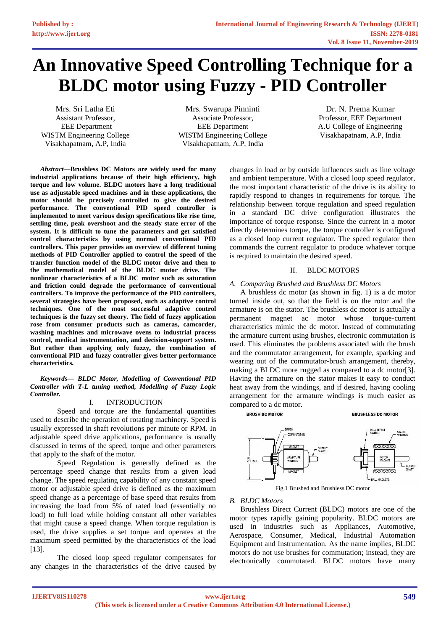# **An Innovative Speed Controlling Technique for a BLDC motor using Fuzzy - PID Controller**

Mrs. Sri Latha Eti Assistant Professor, EEE Department WISTM Engineering College Visakhapatnam, A.P, India

Mrs. Swarupa Pinninti Associate Professor, EEE Department WISTM Engineering College Visakhapatnam, A.P, India

Dr. N. Prema Kumar Professor, EEE Department A.U College of Engineering Visakhapatnam, A.P, India

*Abstract***—Brushless DC Motors are widely used for many industrial applications because of their high efficiency, high torque and low volume. BLDC motors have a long traditional use as adjustable speed machines and in these applications, the motor should be precisely controlled to give the desired performance. The conventional PID speed controller is implemented to meet various design specifications like rise time, settling time, peak overshoot and the steady state error of the system. It is difficult to tune the parameters and get satisfied control characteristics by using normal conventional PID controllers. This paper provides an overview of different tuning methods of PID Controller applied to control the speed of the transfer function model of the BLDC motor drive and then to the mathematical model of the BLDC motor drive. The nonlinear characteristics of a BLDC motor such as saturation and friction could degrade the performance of conventional controllers. To improve the performance of the PID controllers, several strategies have been proposed, such as adaptive control techniques. One of the most successful adaptive control techniques is the fuzzy set theory. The field of fuzzy application rose from consumer products such as cameras, camcorder, washing machines and microwave ovens to industrial process control, medical instrumentation, and decision-support system. But rather than applying only fuzzy, the combination of conventional PID and fuzzy controller gives better performance characteristics.**

#### *Keywords— BLDC Motor, Modelling of Conventional PID Controller with T-L tuning method, Modelling of Fuzzy Logic Controller.*

# I. INTRODUCTION

Speed and torque are the fundamental quantities used to describe the operation of rotating machinery. Speed is usually expressed in shaft revolutions per minute or RPM. In adjustable speed drive applications, performance is usually discussed in terms of the speed, torque and other parameters that apply to the shaft of the motor.

Speed Regulation is generally defined as the percentage speed change that results from a given load change. The speed regulating capability of any constant speed motor or adjustable speed drive is defined as the maximum speed change as a percentage of base speed that results from increasing the load from 5% of rated load (essentially no load) to full load while holding constant all other variables that might cause a speed change. When torque regulation is used, the drive supplies a set torque and operates at the maximum speed permitted by the characteristics of the load [13].

The closed loop speed regulator compensates for any changes in the characteristics of the drive caused by changes in load or by outside influences such as line voltage and ambient temperature. With a closed loop speed regulator, the most important characteristic of the drive is its ability to rapidly respond to changes in requirements for torque. The relationship between torque regulation and speed regulation in a standard DC drive configuration illustrates the importance of torque response. Since the current in a motor directly determines torque, the torque controller is configured as a closed loop current regulator. The speed regulator then commands the current regulator to produce whatever torque is required to maintain the desired speed.

# II. BLDC MOTORS

# *A. Comparing Brushed and Brushless DC Motors*

A brushless dc motor (as shown in fig. 1) is a dc motor turned inside out, so that the field is on the rotor and the armature is on the stator. The brushless dc motor is actually a permanent magnet ac motor whose torque-current characteristics mimic the dc motor. Instead of commutating the armature current using brushes, electronic commutation is used. This eliminates the problems associated with the brush and the commutator arrangement, for example, sparking and wearing out of the commutator-brush arrangement, thereby, making a BLDC more rugged as compared to a dc motor[3]. Having the armature on the stator makes it easy to conduct heat away from the windings, and if desired, having cooling arrangement for the armature windings is much easier as compared to a dc motor.



Fig.1 Brushed and Brushless DC motor

# *B. BLDC Motors*

Brushless Direct Current (BLDC) motors are one of the motor types rapidly gaining popularity. BLDC motors are used in industries such as Appliances, Automotive, Aerospace, Consumer, Medical, Industrial Automation Equipment and Instrumentation. As the name implies, BLDC motors do not use brushes for commutation; instead, they are electronically commutated. BLDC motors have many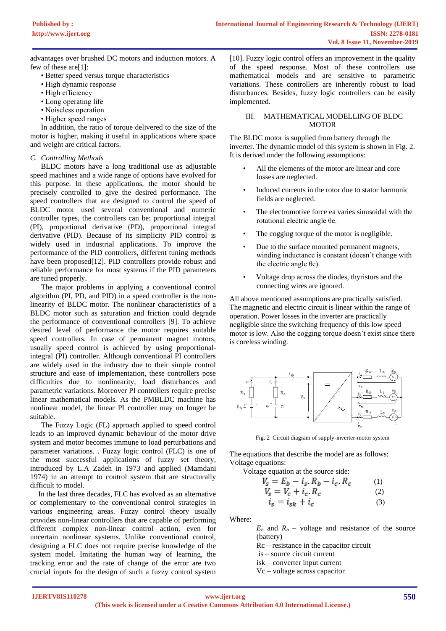advantages over brushed DC motors and induction motors. A few of these are[1]:

- Better speed versus torque characteristics
- High dynamic response
- High efficiency
- Long operating life
- Noiseless operation
- Higher speed ranges

In addition, the ratio of torque delivered to the size of the motor is higher, making it useful in applications where space and weight are critical factors.

# *C. Controlling Methods*

BLDC motors have a long traditional use as adjustable speed machines and a wide range of options have evolved for this purpose. In these applications, the motor should be precisely controlled to give the desired performance. The speed controllers that are designed to control the speed of BLDC motor used several conventional and numeric controller types, the controllers can be: proportional integral (PI), proportional derivative (PD), proportional integral derivative (PID). Because of its simplicity PID control is widely used in industrial applications. To improve the performance of the PID controllers, different tuning methods have been proposed[12]. PID controllers provide robust and reliable performance for most systems if the PID parameters are tuned properly.

The major problems in applying a conventional control algorithm (PI, PD, and PID) in a speed controller is the nonlinearity of BLDC motor. The nonlinear characteristics of a BLDC motor such as saturation and friction could degrade the performance of conventional controllers [9]. To achieve desired level of performance the motor requires suitable speed controllers. In case of permanent magnet motors, usually speed control is achieved by using proportionalintegral (PI) controller. Although conventional PI controllers are widely used in the industry due to their simple control structure and ease of implementation, these controllers pose difficulties due to nonlinearity, load disturbances and parametric variations. Moreover PI controllers require precise linear mathematical models. As the PMBLDC machine has nonlinear model, the linear PI controller may no longer be suitable.

The Fuzzy Logic (FL) approach applied to speed control leads to an improved dynamic behaviour of the motor drive system and motor becomes immune to load perturbations and parameter variations. . Fuzzy logic control (FLC) is one of the most successful applications of fuzzy set theory, introduced by L.A Zadeh in 1973 and applied (Mamdani 1974) in an attempt to control system that are structurally difficult to model.

In the last three decades, FLC has evolved as an alternative or complementary to the conventional control strategies in various engineering areas. Fuzzy control theory usually provides non-linear controllers that are capable of performing different complex non-linear control action, even for uncertain nonlinear systems. Unlike conventional control, designing a FLC does not require precise knowledge of the system model. Imitating the human way of learning, the tracking error and the rate of change of the error are two crucial inputs for the design of such a fuzzy control system

[10]. Fuzzy logic control offers an improvement in the quality of the speed response. Most of these controllers use mathematical models and are sensitive to parametric variations. These controllers are inherently robust to load disturbances. Besides, fuzzy logic controllers can be easily implemented.

# III. MATHEMATICAL MODELLING OF BLDC **MOTOR**

The BLDC motor is supplied from battery through the inverter. The dynamic model of this system is shown in Fig. 2. It is derived under the following assumptions:

- All the elements of the motor are linear and core losses are neglected.
- Induced currents in the rotor due to stator harmonic fields are neglected.
- The electromotive force ea varies sinusoidal with the rotational electric angle θe.
- The cogging torque of the motor is negligible.
- Due to the surface mounted permanent magnets, winding inductance is constant (doesn't change with the electric angle θe).
- Voltage drop across the diodes, thyristors and the connecting wires are ignored.

All above mentioned assumptions are practically satisfied. The magnetic and electric circuit is linear within the range of operation. Power losses in the inverter are practically negligible since the switching frequency of this low speed motor is low. Also the cogging torque doesn't exist since there is coreless winding.



Fig. 2 Circuit diagram of supply-inverter-motor system

The equations that describe the model are as follows: Voltage equations:

Voltage equation at the source side:

$$
V_s = E_b - i_s \cdot R_b - i_c \cdot R_c \tag{1}
$$

$$
V_s = V_c + i_c R_c \tag{2}
$$

$$
i_s = i_{sk} + i_c \tag{3}
$$

Where:

 $E_b$  and  $R_b$  – voltage and resistance of the source (battery)

Rc – resistance in the capacitor circuit

- is source circuit current
- isk converter input current
- Vc voltage across capacitor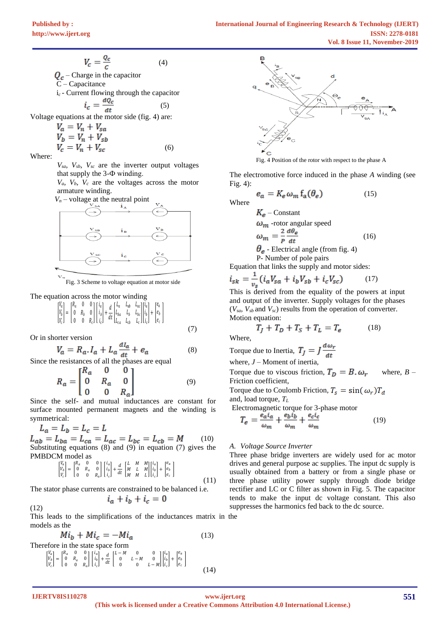$$
V_c = \frac{Q_c}{c}
$$
 (4)  
\n
$$
Q_c
$$
 - Charge in the capacitor  
\nC - Capacitance  
\ni<sub>c</sub> - Current flowing through the capacitor  
\n
$$
i_c = \frac{dQ_c}{dt}
$$
 (5)  
\nVoltage equations at the motor side (fig. 4) are:  
\n
$$
V_a = V_n + V_{sa}
$$
  
\n
$$
V_b = V_a + V_{cb}
$$

Where:

*Vsa, Vsb, Vsc* are the inverter output voltages that supply the 3-Ф winding.

(6)

(7)

 $V_a$ ,  $V_b$ ,  $V_c$  are the voltages across the motor armature winding.



Fig. 3 Scheme to voltage equation at motor side

#### The equation across the motor winding

I٢  $v_a$  $v_b$  | ν. =  $K_a$  0 0  $\mathbf{U}$   $K_b$   $\mathbf{U}$  $0 \quad 0 \quad R_c$ L  $l_a$ |  $l_b$ |  $l_c$  $+\frac{a}{b}$  $\overline{dt}\Big|_I^L$  $L_a$   $L_{ab}$   $L_{ac}$  $L_{ba}$   $L_b$   $L_{bc}$  $L_{ca}$   $L_{cb}$   $L_c$ Ш  $l_a$ |  $l_b$  |  $l_c$  $+$  $e_a$  $e_b$  $e_c$ L

Or in shorter version

$$
V_a = R_a I_a + L_a \frac{dI_a}{dt} + e_a \tag{8}
$$

Since the resistances of all the phases are equal

$$
R_a = \begin{bmatrix} R_a & 0 & 0 \\ 0 & R_a & 0 \\ 0 & 0 & R_a \end{bmatrix}
$$
 (9)

Since the self- and mutual inductances are constant for surface mounted permanent magnets and the winding is symmetrical:

$$
L_a = L_b = L_c = L
$$

 (10) Substituting equations (8) and (9) in equation (7) gives the PMBDCM model as

$$
\begin{bmatrix}\nV_a \\
V_b \\
V_c\n\end{bmatrix} = \begin{bmatrix}\nR_a & 0 & 0 \\
0 & R_a & 0 \\
0 & 0 & R_a\n\end{bmatrix} \begin{bmatrix}\ni_a \\
i_b \\
i_c\n\end{bmatrix} + \frac{d}{dt} \begin{bmatrix}\nL & M & M \\
M & L & M \\
M & M & L\n\end{bmatrix} \begin{bmatrix}\ni_a \\
i_b \\
i_c\n\end{bmatrix} + \begin{bmatrix}\ne_a \\
e_b \\
e_c\n\end{bmatrix}
$$
\n(11)

The stator phase currents are constrained to be balanced i.e.

$$
i_a + i_b + i_c = 0
$$

This leads to the simplifications of the inductances matrix in the models as the

$$
Mi_b + Mi_c = -Mi_a
$$
\nTherefore in the state space form

\n
$$
\begin{bmatrix}\nV_a \\
V_b \\
V_b \\
V_c\n\end{bmatrix} = \begin{bmatrix}\nR_a & 0 & 0 \\
0 & R_a & 0 \\
0 & R_a & 0 \\
0 & 0 & R_a\n\end{bmatrix} \begin{bmatrix}\ni_a \\
i_b \\
i_c\n\end{bmatrix} + \frac{d}{dt} \begin{bmatrix}\nL - M & 0 & 0 \\
0 & L - M & 0 \\
0 & 0 & L - M\n\end{bmatrix} \begin{bmatrix}\ni_a \\
i_b \\
i_c\n\end{bmatrix} + \begin{bmatrix}\ne_a \\
e_b \\
e_c\n\end{bmatrix}
$$
\n(13)



Fig. 4 Position of the rotor with respect to the phase A

The electromotive force induced in the phase *A* winding (see Fig. 4):

$$
e_a = K_e \,\omega_m \, f_a(\theta_e) \tag{15}
$$

Where

$$
K_e - \text{Constant}
$$
  
\n
$$
\omega_m - \text{rotor angular speed}
$$
  
\n
$$
\omega_m = \frac{2}{P} \frac{d\theta_e}{dt}
$$
  
\n
$$
\theta_e - \text{Electrical angle (from fig. 4)}
$$
 (16)

P- Number of pole pairs Equation that links the supply and motor sides:

$$
i_{sk} = \frac{1}{v_s} (i_a V_{sa} + i_b V_{sb} + i_c V_{sc})
$$
 (17)

This is derived from the equality of the powers at input and output of the inverter. Supply voltages for the phases (*Vsa, Vsb* and *Vsc*) results from the operation of converter. Motion equation:

$$
T_J + T_D + T_S + T_L = T_e \tag{18}
$$

Where,

Torque due to Inertia, 
$$
T_J = J \frac{d\omega_r}{dt}
$$

where, *J* – Moment of inertia, Torque due to viscous friction,  $T_D = B \cdot \omega_r$  where,  $B -$ Friction coefficient, Torque due to Coulomb Friction,  $T_s = \sin(\omega_r) T_d$ 

and, load torque, *T<sup>L</sup>*

Electromagnetic torque for 3-phase motor

$$
T_e = \frac{e_a i_a}{\omega_m} + \frac{e_b i_b}{\omega_m} + \frac{e_c i_c}{\omega_m} \tag{19}
$$

# *A. Voltage Source Inverter*

Three phase bridge inverters are widely used for ac motor drives and general purpose ac supplies. The input dc supply is usually obtained from a battery or from a single phase or three phase utility power supply through diode bridge rectifier and LC or C filter as shown in Fig. 5. The capacitor tends to make the input dc voltage constant. This also suppresses the harmonics fed back to the dc source.

**IJERTV8IS110278**

(12)

**<www.ijert.org>**

(14)

**(This work is licensed under a Creative Commons Attribution 4.0 International License.)**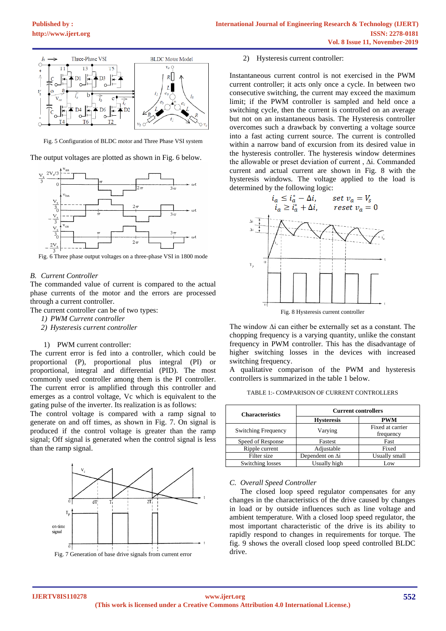

Fig. 5 Configuration of BLDC motor and Three Phase VSI system

The output voltages are plotted as shown in Fig. 6 below.



Fig. 6 Three phase output voltages on a three-phase VSI in 1800 mode

# *B. Current Controller*

The commanded value of current is compared to the actual phase currents of the motor and the errors are processed through a current controller.

The current controller can be of two types:

- *1) PWM Current controller*
- *2) Hysteresis current controller*

#### 1) PWM current controller:

The current error is fed into a controller, which could be proportional (P), proportional plus integral (PI) or proportional, integral and differential (PID). The most commonly used controller among them is the PI controller. The current error is amplified through this controller and emerges as a control voltage, Vc which is equivalent to the gating pulse of the inverter. Its realization is as follows:

The control voltage is compared with a ramp signal to generate on and off times, as shown in Fig. 7. On signal is produced if the control voltage is greater than the ramp signal; Off signal is generated when the control signal is less than the ramp signal.



Fig. 7 Generation of base drive signals from current error

#### 2) Hysteresis current controller:

Instantaneous current control is not exercised in the PWM current controller; it acts only once a cycle. In between two consecutive switching, the current may exceed the maximum limit; if the PWM controller is sampled and held once a switching cycle, then the current is controlled on an average but not on an instantaneous basis. The Hysteresis controller overcomes such a drawback by converting a voltage source into a fast acting current source. The current is controlled within a narrow band of excursion from its desired value in the hysteresis controller. The hysteresis window determines the allowable or preset deviation of current , ∆i. Commanded current and actual current are shown in Fig. 8 with the hysteresis windows. The voltage applied to the load is determined by the following logic:



Fig. 8 Hysteresis current controller

The window ∆i can either be externally set as a constant. The chopping frequency is a varying quantity, unlike the constant frequency in PWM controller. This has the disadvantage of higher switching losses in the devices with increased switching frequency.

A qualitative comparison of the PWM and hysteresis controllers is summarized in the table 1 below.

| TABLE 1:- COMPARISON OF CURRENT CONTROLLERS |  |
|---------------------------------------------|--|
|---------------------------------------------|--|

| <b>Characteristics</b>     | <b>Current controllers</b> |                               |
|----------------------------|----------------------------|-------------------------------|
|                            | <b>Hysteresis</b>          | <b>PWM</b>                    |
| <b>Switching Frequency</b> | Varying                    | Fixed at carrier<br>frequency |
| Speed of Response          | Fastest                    | Fast                          |
| Ripple current             | Adjustable                 | Fixed                         |
| Filter size                | Dependent on Ai            | Usually small                 |
| Switching losses           | Usually high               | Low                           |

#### *C. Overall Speed Controller*

The closed loop speed regulator compensates for any changes in the characteristics of the drive caused by changes in load or by outside influences such as line voltage and ambient temperature. With a closed loop speed regulator, the most important characteristic of the drive is its ability to rapidly respond to changes in requirements for torque. The fig. 9 shows the overall closed loop speed controlled BLDC drive.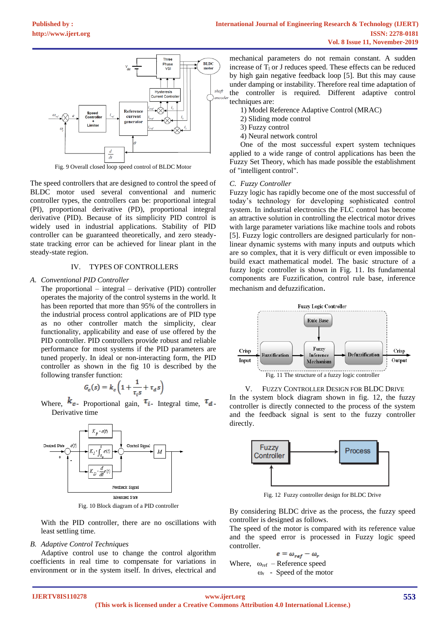

Fig. 9 Overall closed loop speed control of BLDC Motor

The speed controllers that are designed to control the speed of BLDC motor used several conventional and numeric controller types, the controllers can be: proportional integral (PI), proportional derivative (PD), proportional integral derivative (PID). Because of its simplicity PID control is widely used in industrial applications. Stability of PID controller can be guaranteed theoretically, and zero steadystate tracking error can be achieved for linear plant in the steady-state region.

# IV. TYPES OF CONTROLLERS

### *A. Conventional PID Controller*

The proportional – integral – derivative (PID) controller operates the majority of the control systems in the world. It has been reported that more than 95% of the controllers in the industrial process control applications are of PID type as no other controller match the simplicity, clear functionality, applicability and ease of use offered by the PID controller. PID controllers provide robust and reliable performance for most systems if the PID parameters are tuned properly. In ideal or non-interacting form, the PID controller as shown in the fig 10 is described by the following transfer function:

$$
G_c(s) = k_c \left( 1 + \frac{1}{\tau_i s} + \tau_d s \right)
$$

Where,  $k_c$ - Proportional gain,  $\tau_i$ - Integral time,  $\tau_d$ -Derivative time



Fig. 10 Block diagram of a PID controller

With the PID controller, there are no oscillations with least settling time.

# *B. Adaptive Control Techniques*

Adaptive control use to change the control algorithm coefficients in real time to compensate for variations in environment or in the system itself. In drives, electrical and

mechanical parameters do not remain constant. A sudden increase of  $T_1$  or J reduces speed. These effects can be reduced by high gain negative feedback loop [5]. But this may cause under damping or instability. Therefore real time adaptation of the controller is required. Different adaptive control techniques are:

- 1) Model Reference Adaptive Control (MRAC)
- 2) Sliding mode control
- 3) Fuzzy control
- 4) Neural network control

One of the most successful expert system techniques applied to a wide range of control applications has been the Fuzzy Set Theory, which has made possible the establishment of "intelligent control".

### *C. Fuzzy Controller*

Fuzzy logic has rapidly become one of the most successful of today's technology for developing sophisticated control system. In industrial electronics the FLC control has become an attractive solution in controlling the electrical motor drives with large parameter variations like machine tools and robots [5]. Fuzzy logic controllers are designed particularly for nonlinear dynamic systems with many inputs and outputs which are so complex, that it is very difficult or even impossible to build exact mathematical model. The basic structure of a fuzzy logic controller is shown in Fig. 11. Its fundamental components are Fuzzification, control rule base, inference mechanism and defuzzification.



V. FUZZY CONTROLLER DESIGN FOR BLDC DRIVE

In the system block diagram shown in fig. 12, the fuzzy controller is directly connected to the process of the system and the feedback signal is sent to the fuzzy controller directly.



Fig. 12 Fuzzy controller design for BLDC Drive

By considering BLDC drive as the process, the fuzzy speed controller is designed as follows.

The speed of the motor is compared with its reference value and the speed error is processed in Fuzzy logic speed controller.

$$
e = \omega_{ref} - \omega_r
$$
  
Where,  $\omega_{ref}$  - Reference speed

 $ω<sub>r</sub>$  - Speed of the motor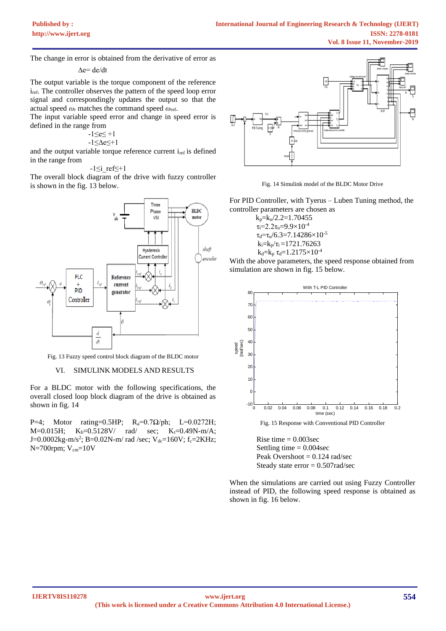The change in error is obtained from the derivative of error as

$$
\Delta e = de/dt
$$

The output variable is the torque component of the reference i<sub>ref</sub>. The controller observes the pattern of the speed loop error signal and correspondingly updates the output so that the actual speed *ω*<sup>r</sup> matches the command speed *ω*ref.

The input variable speed error and change in speed error is defined in the range from

 $-1 \le e \le +1$ 

-1≤∆e≤+1

and the output variable torque reference current i<sub>ref</sub> is defined in the range from

 $-1$  <i ref  $\leq +1$ 

The overall block diagram of the drive with fuzzy controller is shown in the fig. 13 below.



Fig. 13 Fuzzy speed control block diagram of the BLDC motor

# VI. SIMULINK MODELS AND RESULTS

For a BLDC motor with the following specifications, the overall closed loop block diagram of the drive is obtained as shown in fig. 14

P=4; Motor rating=0.5HP;  $R_a=0.7Ω/ph$ ; L=0.0272H;  $M=0.015H$ ;  $K_b=0.5128V$  rad/ sec;  $K_t=0.49N-m/A$ ;  $J=0.0002kg$ -m/s<sup>2</sup>; B=0.02N-m/ rad /sec; V<sub>dc</sub>=160V; f<sub>c</sub>=2KHz;  $N=700$ rpm;  $V_{cm}=10V$ 



Fig. 14 Simulink model of the BLDC Motor Drive

For PID Controller, with Tyerus – Luben Tuning method, the controller parameters are chosen as

 $k_p=k_u/2.2=1.70455$  $\tau_i = 2.2\tau_u = 9.9 \times 10^{-4}$  $\tau_d = \tau_u/6.3 = 7.14286 \times 10^{-5}$  $k_i=k_p/\tau_i = 1721.76263$  $k_d = k_p \tau_d = 1.2175 \times 10^{-4}$ 

With the above parameters, the speed response obtained from simulation are shown in fig. 15 below.



Rise time  $= 0.003$ sec Settling time  $= 0.004$  sec Peak Overshoot  $= 0.124$  rad/sec Steady state error = 0.507rad/sec

When the simulations are carried out using Fuzzy Controller instead of PID, the following speed response is obtained as shown in fig. 16 below.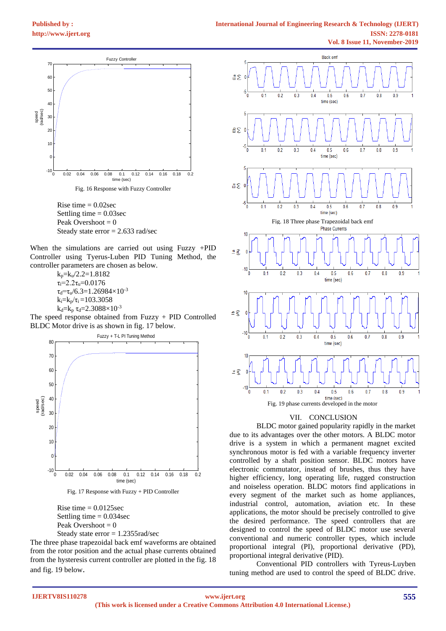

Rise time  $= 0.02$ sec Settling time  $= 0.03$ sec Peak Overshoot  $= 0$ Steady state error = 2.633 rad/sec

When the simulations are carried out using Fuzzy +PID Controller using Tyerus-Luben PID Tuning Method, the controller parameters are chosen as below.

 $k_p = k_u/2.2 = 1.8182$ τi=2.2τu=0.0176  $\tau_d = \tau_u/6.3 = 1.26984 \times 10^{-3}$  $k_i=k_p/\tau_i =103.3058$  $k_d=k_p \tau_d=2.3088\times10^{-3}$ 

The speed response obtained from Fuzzy + PID Controlled BLDC Motor drive is as shown in fig. 17 below.





Rise time  $= 0.0125$ sec Settling time  $= 0.034$  sec Peak Overshoot  $= 0$ 

Steady state error = 1.2355rad/sec The three phase trapezoidal back emf waveforms are obtained from the rotor position and the actual phase currents obtained from the hysteresis current controller are plotted in the fig. 18 and fig. 19 below.



# VII. CONCLUSION

BLDC motor gained popularity rapidly in the market due to its advantages over the other motors. A BLDC motor drive is a system in which a permanent magnet excited synchronous motor is fed with a variable frequency inverter controlled by a shaft position sensor. BLDC motors have electronic commutator, instead of brushes, thus they have higher efficiency, long operating life, rugged construction and noiseless operation. BLDC motors find applications in every segment of the market such as home appliances, industrial control, automation, aviation etc. In these applications, the motor should be precisely controlled to give the desired performance. The speed controllers that are designed to control the speed of BLDC motor use several conventional and numeric controller types, which include proportional integral (PI), proportional derivative (PD), proportional integral derivative (PID).

Conventional PID controllers with Tyreus-Luyben tuning method are used to control the speed of BLDC drive.